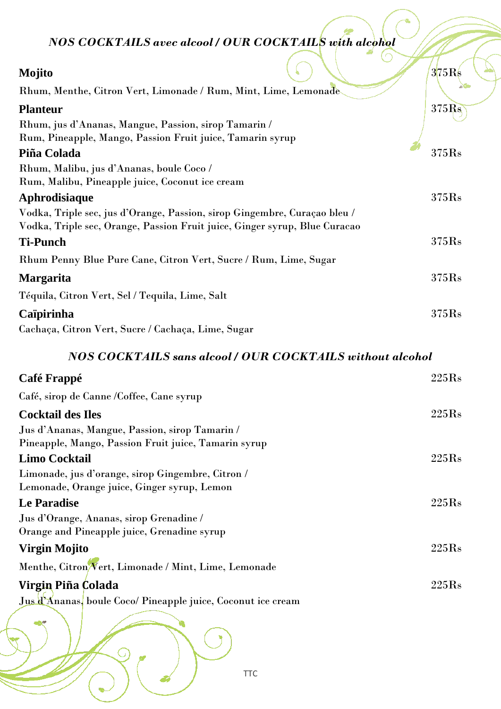*NOS COCKTAILS avec alcool / OUR COCKTAILS with alcohol*

| Mojito                                                                     | 375Rs |
|----------------------------------------------------------------------------|-------|
| Rhum, Menthe, Citron Vert, Limonade / Rum, Mint, Lime, Lemonade            |       |
| <b>Planteur</b>                                                            | 375Rs |
| Rhum, jus d'Ananas, Mangue, Passion, sirop Tamarin /                       |       |
| Rum, Pineapple, Mango, Passion Fruit juice, Tamarin syrup                  |       |
| Piña Colada                                                                | 375Rs |
| Rhum, Malibu, jus d'Ananas, boule Coco /                                   |       |
| Rum, Malibu, Pineapple juice, Coconut ice cream                            |       |
| Aphrodisiaque                                                              | 375Rs |
| Vodka, Triple sec, jus d'Orange, Passion, sirop Gingembre, Curaçao bleu /  |       |
| Vodka, Triple sec, Orange, Passion Fruit juice, Ginger syrup, Blue Curacao |       |
| <b>Ti-Punch</b>                                                            | 375Rs |
| Rhum Penny Blue Pure Cane, Citron Vert, Sucre / Rum, Lime, Sugar           |       |
| <b>Margarita</b>                                                           | 375Rs |
| Téquila, Citron Vert, Sel / Tequila, Lime, Salt                            |       |
| Caïpirinha                                                                 | 375Rs |
| Cachaça, Citron Vert, Sucre / Cachaça, Lime, Sugar                         |       |
| <b>NOS COCKTAILS sans alcool / OUR COCKTAILS without alcohol</b>           |       |
| Café Frappé                                                                | 225Rs |
| Café, sirop de Canne /Coffee, Cane syrup                                   |       |
| <b>Cocktail des Iles</b>                                                   | 225Rs |
| Jus d'Ananas, Mangue, Passion, sirop Tamarin /                             |       |

**Limo Cocktail** 225Rs

**Le Paradise** 225Rs

#### Jus d'Orange, Ananas, sirop Grenadine / Orange and Pineapple juice, Grenadine syrup

### **Virgin Mojito** 225Rs

Menthe, Citron Vert, Limonade / Mint, Lime, Lemonade

Pineapple, Mango, Passion Fruit juice, Tamarin syrup

Limonade, jus d'orange, sirop Gingembre, Citron / Lemonade, Orange juice, Ginger syrup, Lemon

#### **Virgin Piña Colada** 225Rs

Jus d'Ananas, boule Coco/ Pineapple juice, Coconut ice cream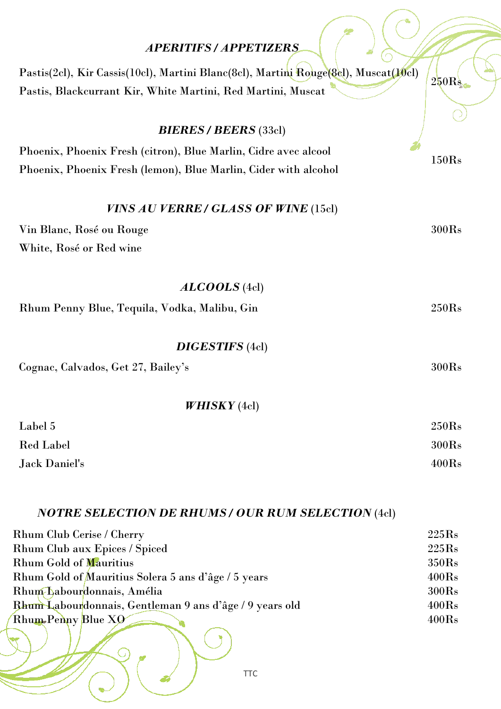# *APERITIFS / APPETIZERS*

 $\frac{1}{2}$ 

| Pastis(2cl), Kir Cassis(10cl), Martini Blanc(8cl), Martini Rouge(8cl), Muscat(10cl) |                   |
|-------------------------------------------------------------------------------------|-------------------|
| Pastis, Blackcurrant Kir, White Martini, Red Martini, Muscat                        | 250R <sub>s</sub> |
|                                                                                     |                   |
| <b>BIERES / BEERS (33cl)</b>                                                        |                   |
| Phoenix, Phoenix Fresh (citron), Blue Marlin, Cidre avec alcool                     |                   |
| Phoenix, Phoenix Fresh (lemon), Blue Marlin, Cider with alcohol                     | 150Rs             |
| VINS AU VERRE / GLASS OF WINE (15cl)                                                |                   |
| Vin Blanc, Rosé ou Rouge                                                            | 300Rs             |
| White, Rosé or Red wine                                                             |                   |
|                                                                                     |                   |
| $ALCOOLS$ (4cl)                                                                     |                   |
| Rhum Penny Blue, Tequila, Vodka, Malibu, Gin                                        | 250Rs             |
|                                                                                     |                   |
| <b>DIGESTIFS</b> (4cl)                                                              |                   |
| Cognac, Calvados, Get 27, Bailey's                                                  | 300Rs             |
|                                                                                     |                   |
| WHISKY(4cl)                                                                         |                   |
| Label 5                                                                             | 250Rs             |
| <b>Red Label</b>                                                                    | 300Rs             |
| <b>Jack Daniel's</b>                                                                | 400Rs             |
|                                                                                     |                   |

# *NOTRE SELECTION DE RHUMS / OUR RUM SELECTION* (4cl)

 $\begin{pmatrix} 1 \\ 2 \end{pmatrix}$ 

| <b>Rhum Club Cerise / Cherry</b>                               | 225Rs |
|----------------------------------------------------------------|-------|
| Rhum Club aux Epices / Spiced                                  | 225Rs |
| <b>Rhum Gold of Mauritius</b>                                  | 350Rs |
| Rhum Gold of Mauritius Solera 5 ans d'âge / 5 years            | 400Rs |
| Rhum Labourdonnais, Amélia                                     | 300Rs |
| <b>Rhum Labourdonnais, Gentleman 9 ans d'âge / 9 years old</b> | 400Rs |
| Rhum-Penny Blue XO                                             | 400Rs |
|                                                                |       |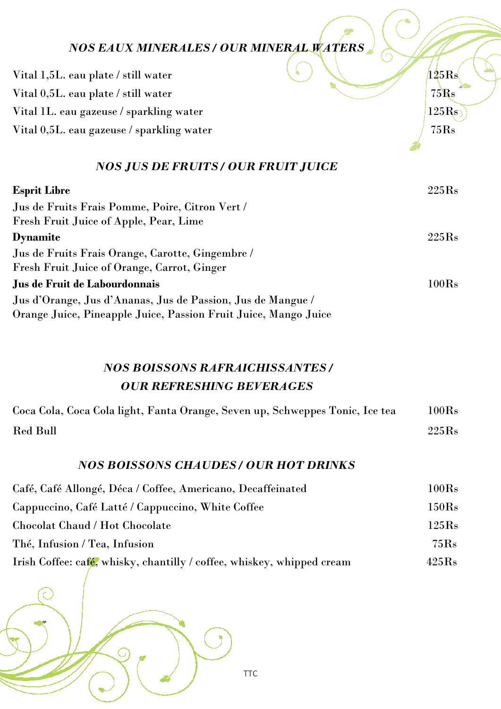| <b>NOS EAUX MINERALES / OUR MINERAL WATERS</b>                                                  |                  |
|-------------------------------------------------------------------------------------------------|------------------|
| Vital 1,5L. eau plate / still water                                                             | $125\mathrm{Rs}$ |
| Vital 0,5L. eau plate / still water                                                             | 75Rs             |
| Vital 1L. eau gazeuse / sparkling water                                                         | 125Rs            |
| Vital 0,5L. eau gazeuse / sparkling water                                                       | 75Rs             |
| <b>NOS JUS DE FRUITS / OUR FRUIT JUICE</b>                                                      |                  |
| <b>Esprit Libre</b>                                                                             | 225Rs            |
| Jus de Fruits Frais Pomme, Poire, Citron Vert /<br>Fresh Fruit Juice of Apple, Pear, Lime       |                  |
| <b>Dynamite</b>                                                                                 | 225Rs            |
| Jus de Fruits Frais Orange, Carotte, Gingembre /<br>Fresh Fruit Juice of Orange, Carrot, Ginger |                  |
| Jus de Fruit de Labourdonnais                                                                   | 100Rs            |

Jus d'Orange, Jus d'Ananas, Jus de Passion, Jus de Mangue / Orange Juice, Pineapple Juice, Passion Fruit Juice, Mango Juice

### *NOS BOISSONS RAFRAICHISSANTES / OUR REFRESHING BEVERAGES*

| Coca Cola, Coca Cola light, Fanta Orange, Seven up, Schweppes Tonic, Ice tea | $100\mathrm{Rs}$ |
|------------------------------------------------------------------------------|------------------|
| <b>Red Bull</b>                                                              | 225Rs            |

### *NOS BOISSONS CHAUDES / OUR HOT DRINKS*

| Café, Café Allongé, Déca / Coffee, Americano, Decaffeinated            | $100\mathrm{Rs}$ |  |
|------------------------------------------------------------------------|------------------|--|
| Cappuccino, Café Latté / Cappuccino, White Coffee                      | 150Rs            |  |
| Chocolat Chaud / Hot Chocolate                                         | 125Rs            |  |
| Thé, Infusion / Tea, Infusion                                          | 75Rs             |  |
| Irish Coffee: cafe, whisky, chantilly / coffee, whiskey, whipped cream | 425Rs            |  |

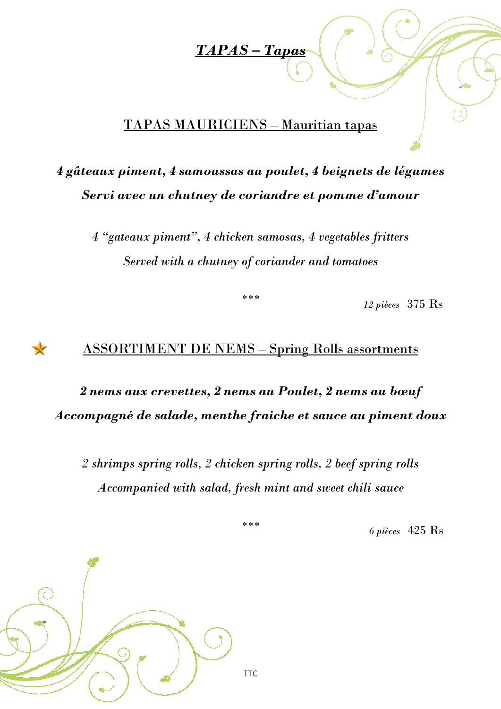### *TAPAS – Tapas*

### TAPAS MAURICIENS – Mauritian tapas

# *4 gâteaux piment, 4 samoussas au poulet, 4 beignets de légumes Servi avec un chutney de coriandre et pomme d'amour*

*4 "gateaux piment", 4 chicken samosas, 4 vegetables fritters Served with a chutney of coriander and tomatoes*

*\*\*\**

*12 pièces* 375 Rs

### ASSORTIMENT DE NEMS – Spring Rolls assortments

# *2 nems aux crevettes, 2 nems au Poulet, 2 nems au bœuf Accompagné de salade, menthe fraiche et sauce au piment doux*

*2 shrimps spring rolls, 2 chicken spring rolls, 2 beef spring rolls Accompanied with salad, fresh mint and sweet chili sauce*

*\*\*\**

*6 pièces* 425 Rs



 $\star$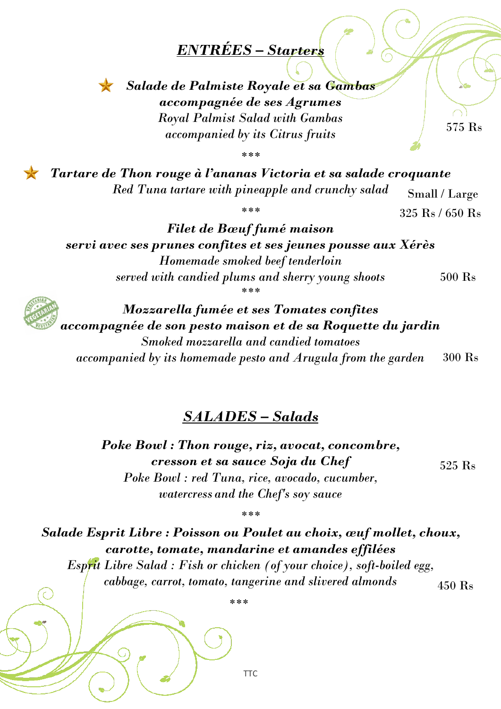# *ENTRÉES – Starters*



*Salade de Palmiste Royale et sa Gambas accompagnée de ses Agrumes Royal Palmist Salad with Gambas accompanied by its Citrus fruits* 

575 Rs

*\*\*\**

*Tartare de Thon rouge à l'ananas Victoria et sa salade croquante Red Tuna tartare with pineapple and crunchy salad* Small / Large

*\*\*\**

 $325$  Rs  $/$  650 Rs

*Filet de Bœuf fumé maison servi avec ses prunes confites et ses jeunes pousse aux Xérès Homemade smoked beef tenderloin served with candied plums and sherry young shoots \*\*\** 500 Rs



*Mozzarella fumée et ses Tomates confites accompagnée de son pesto maison et de sa Roquette du jardin Smoked mozzarella and candied tomatoes*

*accompanied by its homemade pesto and Arugula from the garden* 300 Rs

### *SALADES – Salads*

*Poke Bowl : Thon rouge, riz, avocat, concombre, cresson et sa sauce Soja du Chef Poke Bowl : red Tuna, rice, avocado, cucumber, watercress and the Chef's soy sauce*

*Salade Esprit Libre : Poisson ou Poulet au choix, œuf mollet, choux, carotte, tomate, mandarine et amandes effilées Esprit Libre Salad : Fish or chicken (of your choice), soft-boiled egg,* 

*\*\*\**

*cabbage, carrot, tomato, tangerine and slivered almonds*

450 Rs

525 Rs

*\*\*\**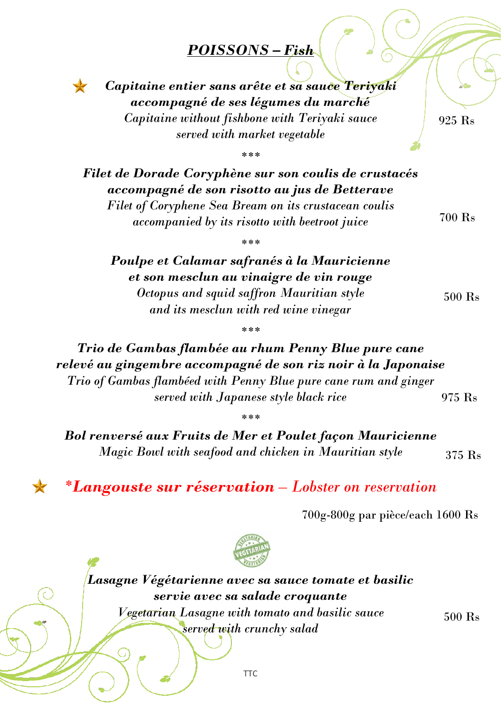# *POISSONS – Fish*

*Capitaine entier sans arête et sa sauce Teriyaki accompagné de ses légumes du marché Capitaine without fishbone with Teriyaki sauce served with market vegetable*

 $\blacktriangleright$ 

925 Rs

*\*\*\** 

*Filet de Dorade Coryphène sur son coulis de crustacés accompagné de son risotto au jus de Betterave Filet of Coryphene Sea Bream on its crustacean coulis accompanied by its risotto with beetroot juice*

700 Rs

500 Rs

*\*\*\**

*Poulpe et Calamar safranés à la Mauricienne et son mesclun au vinaigre de vin rouge Octopus and squid saffron Mauritian style and its mesclun with red wine vinegar*

*\*\*\**

*Trio de Gambas flambée au rhum Penny Blue pure cane relevé au gingembre accompagné de son riz noir à la Japonaise Trio of Gambas flambéed with Penny Blue pure cane rum and ginger served with Japanese style black rice* 975 Rs

*\*\*\**

*Bol renversé aux Fruits de Mer et Poulet façon Mauricienne Magic Bowl with seafood and chicken in Mauritian style* 375 Rs

*\*Langouste sur réservation – Lobster on reservation*

700g-800g par pièce/each 1600 Rs



*Lasagne Végétarienne avec sa sauce tomate et basilic servie avec sa salade croquante Vegetarian Lasagne with tomato and basilic sauce served with crunchy salad*

500 Rs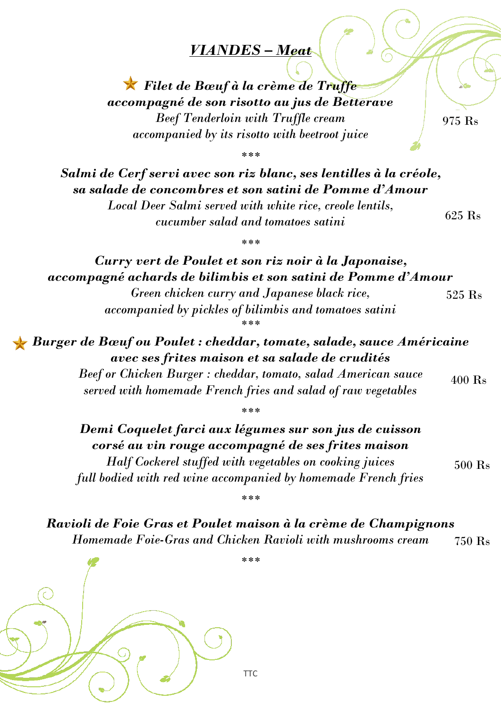### *VIANDES – Meat*

*Filet de Bœuf à la crème de Truffe accompagné de son risotto au jus de Betterave Beef Tenderloin with Truffle cream accompanied by its risotto with beetroot juice*

975 Rs

*\*\*\** 

*Salmi de Cerf servi avec son riz blanc, ses lentilles à la créole, sa salade de concombres et son satini de Pomme d'Amour Local Deer Salmi served with white rice, creole lentils, cucumber salad and tomatoes satini* 625 Rs

*\*\*\** 

*Curry vert de Poulet et son riz noir à la Japonaise, accompagné achards de bilimbis et son satini de Pomme d'Amour Green chicken curry and Japanese black rice, accompanied by pickles of bilimbis and tomatoes satini \*\*\**  525 Rs

*Burger de Bœuf ou Poulet : cheddar, tomate, salade, sauce Américaine avec ses frites maison et sa salade de crudités Beef or Chicken Burger : cheddar, tomato, salad American sauce* 400 Rs

*served with homemade French fries and salad of raw vegetables*

*\*\*\** 

*Demi Coquelet farci aux légumes sur son jus de cuisson corsé au vin rouge accompagné de ses frites maison Half Cockerel stuffed with vegetables on cooking juices full bodied with red wine accompanied by homemade French fries*

*\*\*\**

500 Rs

*Ravioli de Foie Gras et Poulet maison à la crème de Champignons Homemade Foie-Gras and Chicken Ravioli with mushrooms cream* 750 Rs

*\*\*\**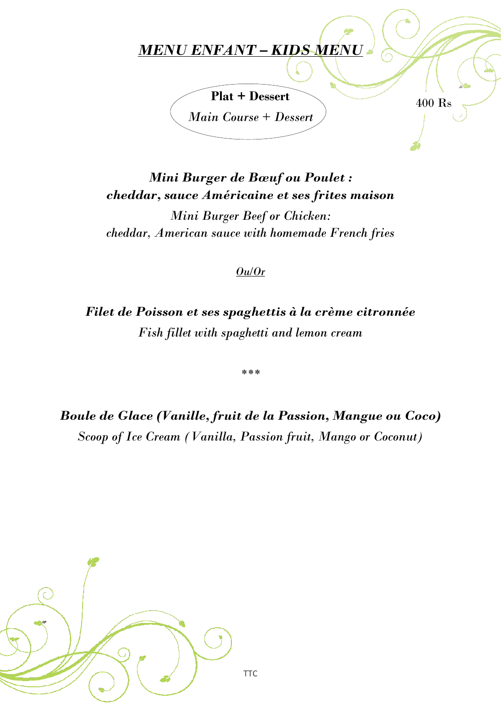# *MENU ENFANT – KIDS MENU*



400 Rs

*Mini Burger de Bœuf ou Poulet : cheddar, sauce Américaine et ses frites maison*

*Mini Burger Beef or Chicken: cheddar, American sauce with homemade French fries*

#### *Ou/Or*

*Filet de Poisson et ses spaghettis à la crème citronnée Fish fillet with spaghetti and lemon cream*

*\*\*\**

*Boule de Glace (Vanille, fruit de la Passion, Mangue ou Coco) Scoop of Ice Cream (Vanilla, Passion fruit, Mango or Coconut)*

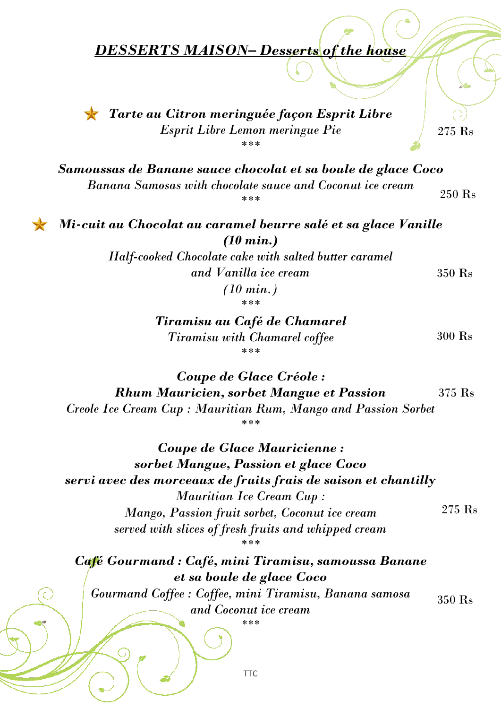### *DESSERTS MAISON– Desserts of the house*



*Tarte au Citron meringuée façon Esprit Libre Esprit Libre Lemon meringue Pie \*\*\** 

275 Rs

350 Rs 350 Rs

300 Rs

*Samoussas de Banane sauce chocolat et sa boule de glace Coco Banana Samosas with chocolate sauce and Coconut ice cream \*\*\** 250 Rs

*Mi-cuit au Chocolat au caramel beurre salé et sa glace Vanille (10 min.)*

> *Half-cooked Chocolate cake with salted butter caramel and Vanilla ice cream (10 min.)*

> > *\*\*\**

*Tiramisu au Café de Chamarel Tiramisu with Chamarel coffee \*\*\** 

*Coupe de Glace Créole : Rhum Mauricien, sorbet Mangue et Passion Creole Ice Cream Cup : Mauritian Rum, Mango and Passion Sorbet \*\*\**  375 Rs

*Coupe de Glace Mauricienne : sorbet Mangue, Passion et glace Coco servi avec des morceaux de fruits frais de saison et chantilly Mauritian Ice Cream Cup : Mango, Passion fruit sorbet, Coconut ice cream served with slices of fresh fruits and whipped cream \*\*\** 275 Rs

*Café Gourmand : Café, mini Tiramisu, samoussa Banane et sa boule de glace Coco*

*Gourmand Coffee : Coffee, mini Tiramisu, Banana samosa and Coconut ice cream* 350 Rs

*\*\*\**